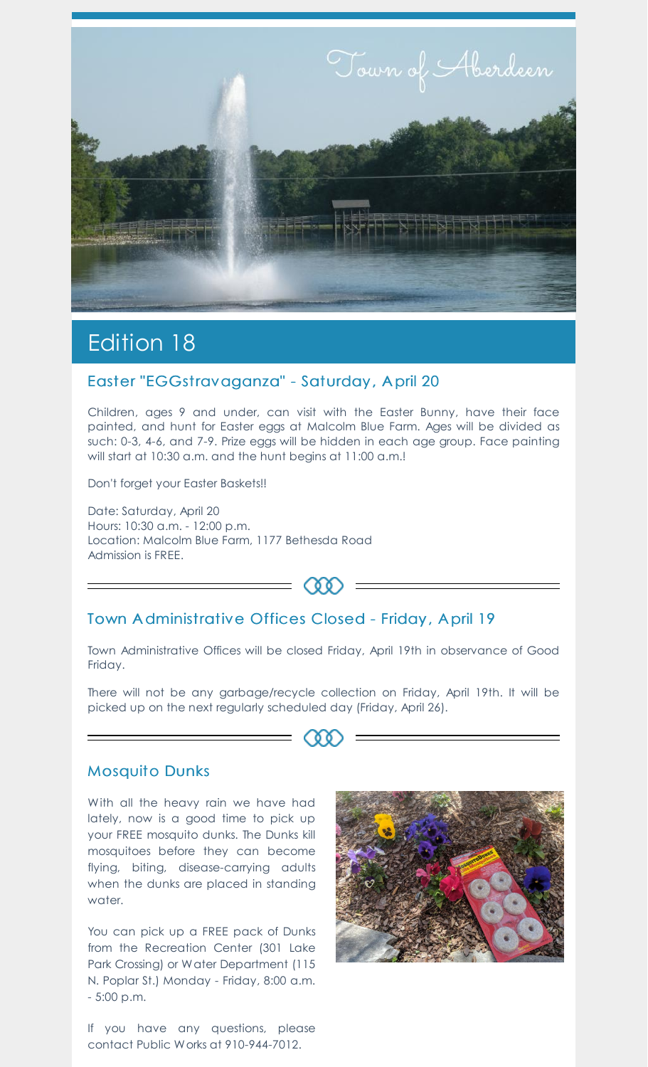

# Edition 18

#### Easter "EGGstravaganza" - Saturday , A pril 20

Children, ages 9 and under, can visit with the Easter Bunny, have their face painted, and hunt for Easter eggs at Malcolm Blue Farm. Ages will be divided as such: 0-3, 4-6, and 7-9. Prize eggs will be hidden in each age group. Face painting will start at 10:30 a.m. and the hunt begins at 11:00 a.m.!

Don't forget your Easter Baskets!!

Date: Saturday, April 20 Hours: 10:30 a.m. - 12:00 p.m. Location: Malcolm Blue Farm, 1177 Bethesda Road Admission is FREE.

Town A dministrative Offices Closed - Friday , A pril 19

Town Administrative Offices will be closed Friday, April 19th in observance of Good Friday.

 $(\delta \delta)$ 

There will not be any garbage/recycle collection on Friday, April 19th. It will be picked up on the next regularly scheduled day (Friday, April 26).

**60** 

#### Mosquito Dunks

With all the heavy rain we have had lately, now is a good time to pick up your FREE mosquito dunks. The Dunks kill mosquitoes before they can become flying, biting, disease-carrying adults when the dunks are placed in standing water.

You can pick up a FREE pack of Dunks from the Recreation Center (301 Lake Park Crossing) or Water Department (115 N. Poplar St.) Monday - Friday, 8:00 a.m. - 5:00 p.m.

If you have any questions, please contact Public Works at 910-944-7012.